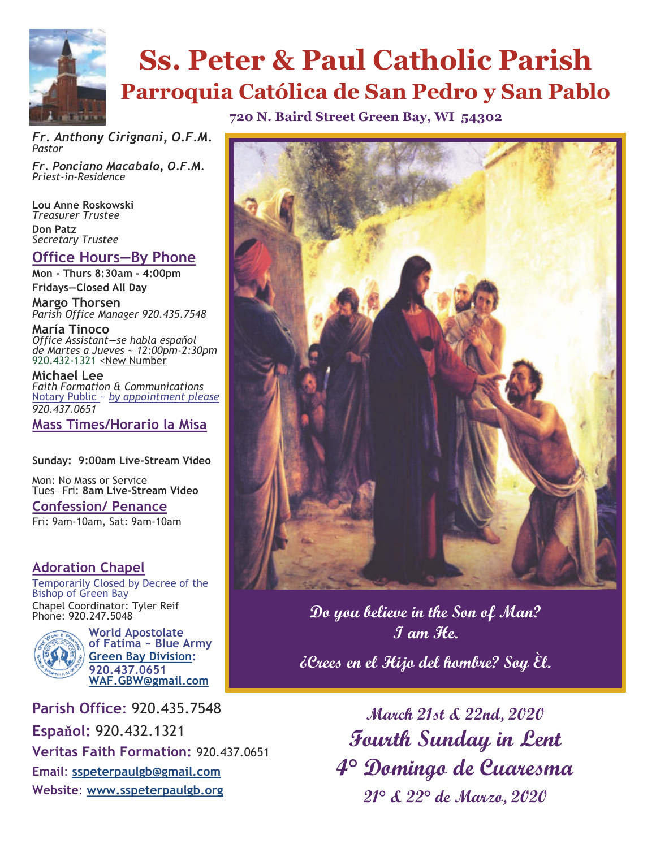

# **Ss. Peter & Paul Catholic Parish Parroquia Católica de San Pedro y San Pablo**

*Fr. Anthony Cirignani, O.F.M. Pastor*

*Fr. Ponciano Macabalo, O.F.M. Priest-in-Residence*

**Lou Anne Roskowski** *Treasurer Trustee*  **Don Patz** *Secretary Trustee* 

### **Office Hours—By Phone**

**Mon - Thurs 8:30am - 4:00pm Fridays—Closed All Day**

**Margo Thorsen** *Parish Office Manager 920.435.7548*

**María Tinoco** *Office Assistant—se habla espaňol de Martes a Jueves ~ 12:00pm-2:30pm* 920.432-1321 <New Number

**Michael Lee** *Faith Formation & Communications*  Notary Public ~ *by appointment please 920.437.0651* 

#### **Mass Times/Horario la Misa**

**Sunday: 9:00am Live-Stream Video** Domingo: 12:30pm Misa en Español

Mon: No Mass or Service Tues—Fri: **8am Live-Stream Video**

**Confession/ Penance** Fri: 9am-10am, Sat: 9am-10am

#### **Adoration Chapel**

Temporarily Closed by Decree of the Bishop of Green Bay Chapel Coordinator: Tyler Reif Phone: 920.247.5048



**World Apostolate of Fatima ~ Blue Army Green Bay Division: 920.437.0651 WAF.GBW@gmail.com**

**Parish Office**: 920.435.7548 **Espaňol:** 920.432.1321 **Veritas Faith Formation:** 920.437.0651 **Email**: **sspeterpaulgb@gmail.com Website**: **www.sspeterpaulgb.org**

**720 N. Baird Street Green Bay, WI 54302**



**Do you believe in the Son of Man? I am He. ¿Crees en el Hijo del hombre? Soy Èl.** 

> **March 21st & 22nd, 2020 Fourth Sunday in Lent 4° Domingo de Cuaresma 21° & 22° de Marzo, 2020**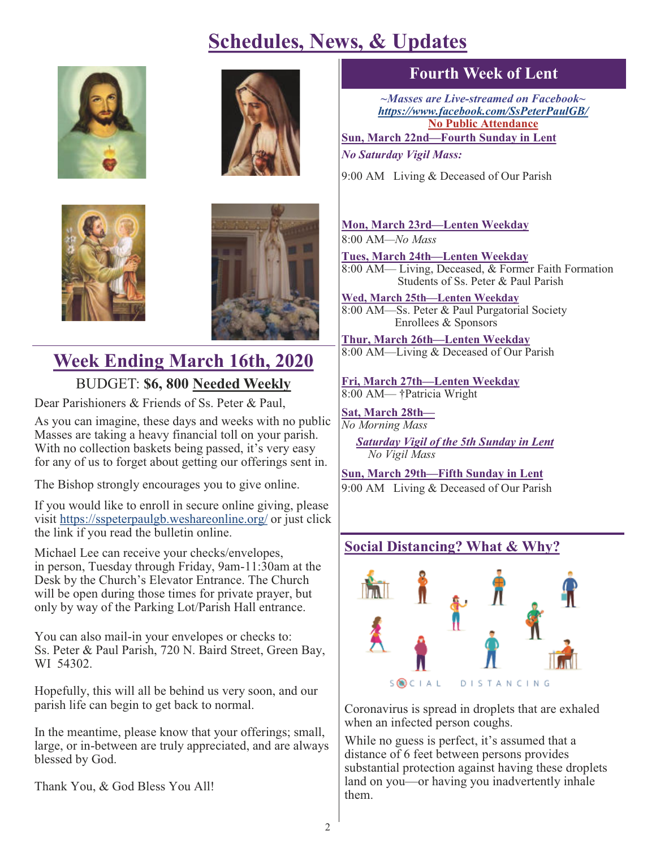# **Schedules, News, & Updates**









# **Week Ending March 16th, 2020**  BUDGET: **\$6, 800 Needed Weekly**

Dear Parishioners & Friends of Ss. Peter & Paul,

As you can imagine, these days and weeks with no public Masses are taking a heavy financial toll on your parish. With no collection baskets being passed, it's very easy for any of us to forget about getting our offerings sent in.

The Bishop strongly encourages you to give online.

If you would like to enroll in secure online giving, please visit https://sspeterpaulgb.weshareonline.org/ or just click the link if you read the bulletin online.

Michael Lee can receive your checks/envelopes, in person, Tuesday through Friday, 9am-11:30am at the Desk by the Church's Elevator Entrance. The Church will be open during those times for private prayer, but only by way of the Parking Lot/Parish Hall entrance.

You can also mail-in your envelopes or checks to: Ss. Peter & Paul Parish, 720 N. Baird Street, Green Bay, WI 54302.

Hopefully, this will all be behind us very soon, and our parish life can begin to get back to normal.

In the meantime, please know that your offerings; small, large, or in-between are truly appreciated, and are always blessed by God.

Thank You, & God Bless You All!

# **Fourth Week of Lent**

*~Masses are Live-streamed on Facebook~ https://www.facebook.com/SsPeterPaulGB/* **No Public Attendance**

**Sun, March 22nd—Fourth Sunday in Lent** *No Saturday Vigil Mass:* 

9:00 AM Living & Deceased of Our Parish

#### **Mon, March 23rd—Lenten Weekday** 8:00 AM*—No Mass*

**Tues, March 24th—Lenten Weekday** 8:00 AM— Living, Deceased, & Former Faith Formation Students of Ss. Peter & Paul Parish

**Wed, March 25th—Lenten Weekday** 8:00 AM—Ss. Peter & Paul Purgatorial Society Enrollees & Sponsors

**Thur, March 26th—Lenten Weekday** 8:00 AM—Living & Deceased of Our Parish

**Fri, March 27th—Lenten Weekday** 8:00 AM— †Patricia Wright

**Sat, March 28th—** *No Morning Mass*

 *Saturday Vigil of the 5th Sunday in Lent No Vigil Mass*

**Sun, March 29th—Fifth Sunday in Lent** 9:00 AM Living & Deceased of Our Parish

### **Social Distancing? What & Why?**



Coronavirus is spread in droplets that are exhaled when an infected person coughs.

While no guess is perfect, it's assumed that a distance of 6 feet between persons provides substantial protection against having these droplets land on you—or having you inadvertently inhale them.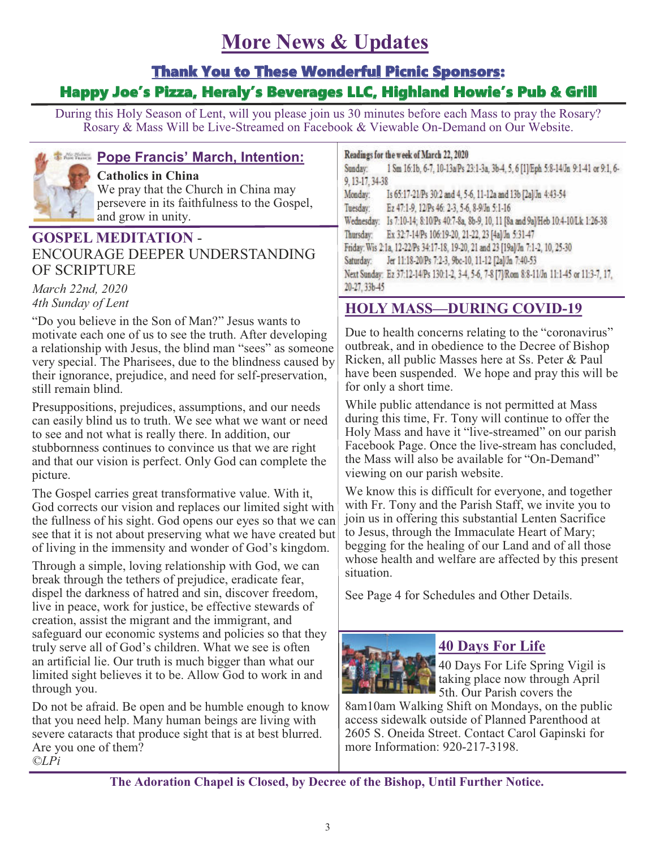# **More News & Updates**

# Thank You to These Wonderful Picnic Sponsors: Happy Joe's Pizza, Heraly's Beverages LLC, Highland Howie's Pub & Grill

During this Holy Season of Lent, will you please join us 30 minutes before each Mass to pray the Rosary? Rosary & Mass Will be Live-Streamed on Facebook & Viewable On-Demand on Our Website.



### **Pope Francis' March, Intention:**

**Catholics in China** We pray that the Church in China may persevere in its faithfulness to the Gospel, and grow in unity.

### **GOSPEL MEDITATION** - ENCOURAGE DEEPER UNDERSTANDING OF SCRIPTURE

*March 22nd, 2020 4th Sunday of Lent*

"Do you believe in the Son of Man?" Jesus wants to motivate each one of us to see the truth. After developing a relationship with Jesus, the blind man "sees" as someone very special. The Pharisees, due to the blindness caused by their ignorance, prejudice, and need for self-preservation, still remain blind.

Presuppositions, prejudices, assumptions, and our needs can easily blind us to truth. We see what we want or need to see and not what is really there. In addition, our stubbornness continues to convince us that we are right and that our vision is perfect. Only God can complete the picture.

The Gospel carries great transformative value. With it, God corrects our vision and replaces our limited sight with the fullness of his sight. God opens our eyes so that we can see that it is not about preserving what we have created but of living in the immensity and wonder of God's kingdom.

Through a simple, loving relationship with God, we can break through the tethers of prejudice, eradicate fear, dispel the darkness of hatred and sin, discover freedom, live in peace, work for justice, be effective stewards of creation, assist the migrant and the immigrant, and safeguard our economic systems and policies so that they truly serve all of God's children. What we see is often an artificial lie. Our truth is much bigger than what our limited sight believes it to be. Allow God to work in and through you.

Do not be afraid. Be open and be humble enough to know that you need help. Many human beings are living with severe cataracts that produce sight that is at best blurred. Are you one of them? *©LPi*

#### Readings for the week of March 22, 2020

1 Sm 16:1b, 6-7, 10-13aPs 23:1-3a, 3b-4, 5, 6 [1]/Eph 5:8-14/Jn 9:1-41 or 9:1, 6-Sunday: 9.13-17.34-38 Monday: Is 65:17-21/Ps 30:2 and 4, 5-6, 11-12a and 13b [2a]/Jn 4:43-54 Tuesday: Ez 47:1-9, 12 Ps 46: 2-3, 5-6, 8-9/Jn 5:1-16 Wednesday: Is 7:10-14; 8:10/Ps 40:7-8a, 8b-9, 10, 11 [8a and 9a]/Heb 10:4-10/Lk 1:26-38 Ex 32:7-14/Ps 106:19-20, 21-22, 23 [4a]/Jn 5:31-47 Thursday: Friday: Wis 2:1a, 12-22/Ps 34:17-18, 19-20, 21 and 23 [19a]/Jn 7:1-2, 10, 25-30 Saturday: Jer 11:18-20/Ps 7:2-3, 9bc-10, 11-12 [2a]/Jn 7:40-53 Next Sunday: Ez 37:12-14/Ps 130:1-2, 3-4, 5-6, 7-8 [7]/Rom 8:8-11/Jn 11:1-45 or 11:3-7, 17, 20-27, 33b-45

### **HOLY MASS—DURING COVID-19**

Due to health concerns relating to the "coronavirus" outbreak, and in obedience to the Decree of Bishop Ricken, all public Masses here at Ss. Peter & Paul have been suspended. We hope and pray this will be for only a short time.

While public attendance is not permitted at Mass during this time, Fr. Tony will continue to offer the Holy Mass and have it "live-streamed" on our parish Facebook Page. Once the live-stream has concluded, the Mass will also be available for "On-Demand" viewing on our parish website.

We know this is difficult for everyone, and together with Fr. Tony and the Parish Staff, we invite you to join us in offering this substantial Lenten Sacrifice to Jesus, through the Immaculate Heart of Mary; begging for the healing of our Land and of all those whose health and welfare are affected by this present situation.

See Page 4 for Schedules and Other Details.



### **40 Days For Life**

40 Days For Life Spring Vigil is taking place now through April 5th. Our Parish covers the

8am10am Walking Shift on Mondays, on the public access sidewalk outside of Planned Parenthood at 2605 S. Oneida Street. Contact Carol Gapinski for more Information: 920-217-3198.

**The Adoration Chapel is Closed, by Decree of the Bishop, Until Further Notice.**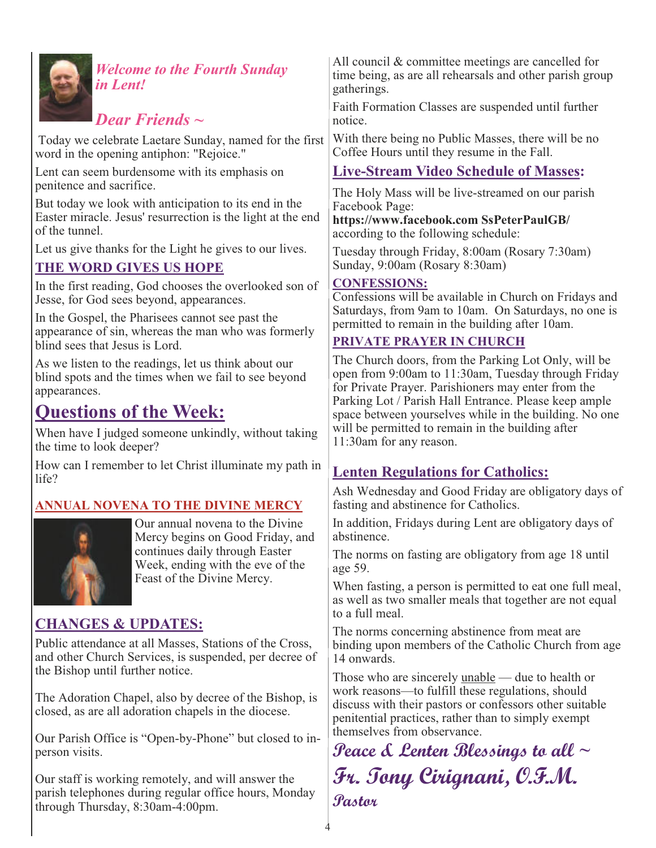

# *Welcome to the Fourth Sunday in Lent!*

# *Dear Friends ~*

 Today we celebrate Laetare Sunday, named for the first word in the opening antiphon: "Rejoice."

Lent can seem burdensome with its emphasis on penitence and sacrifice.

But today we look with anticipation to its end in the Easter miracle. Jesus' resurrection is the light at the end of the tunnel.

Let us give thanks for the Light he gives to our lives.

### **THE WORD GIVES US HOPE**

In the first reading, God chooses the overlooked son of Jesse, for God sees beyond, appearances.

In the Gospel, the Pharisees cannot see past the appearance of sin, whereas the man who was formerly blind sees that Jesus is Lord.

As we listen to the readings, let us think about our blind spots and the times when we fail to see beyond appearances.

# **Questions of the Week:**

When have I judged someone unkindly, without taking the time to look deeper?

How can I remember to let Christ illuminate my path in life?

### **ANNUAL NOVENA TO THE DIVINE MERCY**



Our annual novena to the Divine Mercy begins on Good Friday, and continues daily through Easter Week, ending with the eve of the Feast of the Divine Mercy.

# **CHANGES & UPDATES:**

Public attendance at all Masses, Stations of the Cross, and other Church Services, is suspended, per decree of the Bishop until further notice.

The Adoration Chapel, also by decree of the Bishop, is closed, as are all adoration chapels in the diocese.

Our Parish Office is "Open-by-Phone" but closed to inperson visits.

Our staff is working remotely, and will answer the parish telephones during regular office hours, Monday through Thursday, 8:30am-4:00pm.

All council & committee meetings are cancelled for time being, as are all rehearsals and other parish group gatherings.

Faith Formation Classes are suspended until further notice.

With there being no Public Masses, there will be no Coffee Hours until they resume in the Fall.

### **Live-Stream Video Schedule of Masses:**

The Holy Mass will be live-streamed on our parish Facebook Page:

**https://www.facebook.com SsPeterPaulGB/**  according to the following schedule:

Tuesday through Friday, 8:00am (Rosary 7:30am) Sunday, 9:00am (Rosary 8:30am)

#### **CONFESSIONS:**

Confessions will be available in Church on Fridays and Saturdays, from 9am to 10am. On Saturdays, no one is permitted to remain in the building after 10am.

### **PRIVATE PRAYER IN CHURCH**

The Church doors, from the Parking Lot Only, will be open from 9:00am to 11:30am, Tuesday through Friday for Private Prayer. Parishioners may enter from the Parking Lot / Parish Hall Entrance. Please keep ample space between yourselves while in the building. No one will be permitted to remain in the building after 11:30am for any reason.

### **Lenten Regulations for Catholics:**

Ash Wednesday and Good Friday are obligatory days of fasting and abstinence for Catholics.

In addition, Fridays during Lent are obligatory days of abstinence.

The norms on fasting are obligatory from age 18 until age 59.

When fasting, a person is permitted to eat one full meal, as well as two smaller meals that together are not equal to a full meal.

The norms concerning abstinence from meat are binding upon members of the Catholic Church from age 14 onwards.

Those who are sincerely unable — due to health or work reasons—to fulfill these regulations, should discuss with their pastors or confessors other suitable penitential practices, rather than to simply exempt themselves from observance.

# **Peace & Lenten Blessings to all ~ Fr. Tony Cirignani, O.F.M. Pastor**

4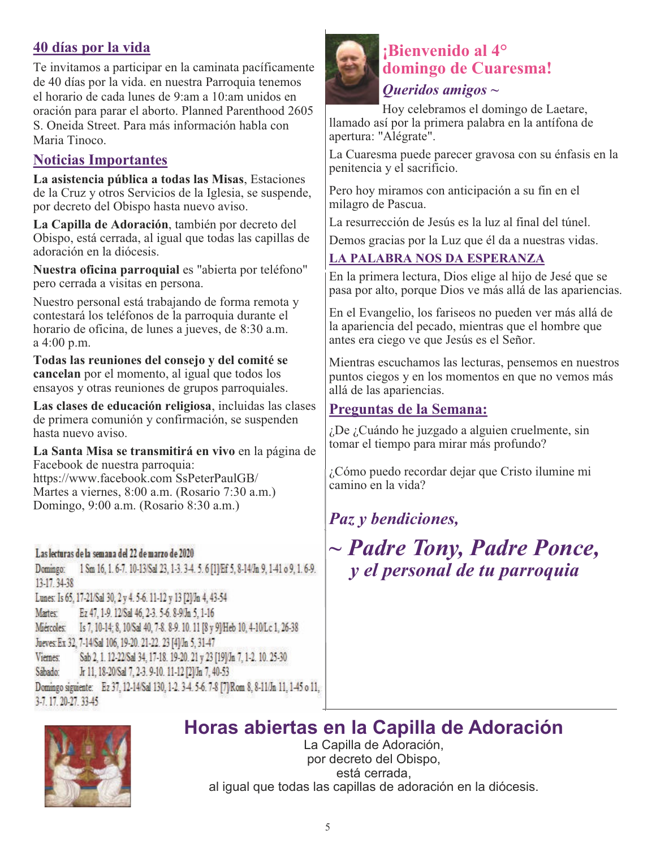### **40 días por la vida**

Te invitamos a participar en la caminata pacíficamente de 40 días por la vida. en nuestra Parroquia tenemos el horario de cada lunes de 9:am a 10:am unidos en oración para parar el aborto. Planned Parenthood 2605 S. Oneida Street. Para más información habla con Maria Tinoco.

### **Noticias Importantes**

**La asistencia pública a todas las Misas**, Estaciones de la Cruz y otros Servicios de la Iglesia, se suspende, por decreto del Obispo hasta nuevo aviso.

**La Capilla de Adoración**, también por decreto del Obispo, está cerrada, al igual que todas las capillas de adoración en la diócesis.

**Nuestra oficina parroquial** es "abierta por teléfono" pero cerrada a visitas en persona.

Nuestro personal está trabajando de forma remota y contestará los teléfonos de la parroquia durante el horario de oficina, de lunes a jueves, de 8:30 a.m. a 4:00 p.m.

**Todas las reuniones del consejo y del comité se cancelan** por el momento, al igual que todos los ensayos y otras reuniones de grupos parroquiales.

**Las clases de educación religiosa**, incluidas las clases de primera comunión y confirmación, se suspenden hasta nuevo aviso.

**La Santa Misa se transmitirá en vivo** en la página de Facebook de nuestra parroquia: https://www.facebook.com SsPeterPaulGB/ Martes a viernes, 8:00 a.m. (Rosario 7:30 a.m.) Domingo, 9:00 a.m. (Rosario 8:30 a.m.)

#### Las lecturas de la semana del 22 de marzo de 2020

1 Sm 16, 1, 6-7, 10-13/Sal 23, 1-3, 3-4, 5, 6 [1]/Ef 5, 8-14/Jn 9, 1-41 o 9, 1, 6-9. Domingo: 13-17, 34-38 Lunes: Is 65, 17-21/Sal 30, 2 y 4. 5-6. 11-12 y 13 [2]/Jn 4, 43-54 Ez 47, 1-9, 12/Sal 46, 2-3, 5-6, 8-9/Jn 5, 1-16 Martes: Miércoles: Is 7, 10-14; 8, 10/Sal 40, 7-8. 8-9. 10. 11 [8 y 9]/Heb 10, 4-10/Lc 1, 26-38 Jueves: Ex 32, 7-14/Sal 106, 19-20, 21-22, 23 [4]/Jn 5, 31-47 Viemes: Sab 2, 1. 12-22/Sal 34, 17-18. 19-20. 21 y 23 [19]/Jn 7, 1-2. 10. 25-30 Sabado: Jr 11, 18-20/Sal 7, 2-3, 9-10, 11-12 [2] Jn 7, 40-53 Domingo siguiente: Ez 37, 12-14/Sal 130, 1-2. 3-4. 5-6. 7-8 [7]/Rom 8, 8-11/Jn 11, 1-45 o 11, 3-7.17.20-27.33-45



# **¡Bienvenido al 4° domingo de Cuaresma!**

#### *Queridos amigos ~*

Hoy celebramos el domingo de Laetare, llamado así por la primera palabra en la antífona de apertura: "Alégrate".

La Cuaresma puede parecer gravosa con su énfasis en la penitencia y el sacrificio.

Pero hoy miramos con anticipación a su fin en el milagro de Pascua.

La resurrección de Jesús es la luz al final del túnel.

Demos gracias por la Luz que él da a nuestras vidas.

### **LA PALABRA NOS DA ESPERANZA**

En la primera lectura, Dios elige al hijo de Jesé que se pasa por alto, porque Dios ve más allá de las apariencias.

En el Evangelio, los fariseos no pueden ver más allá de la apariencia del pecado, mientras que el hombre que antes era ciego ve que Jesús es el Señor.

Mientras escuchamos las lecturas, pensemos en nuestros puntos ciegos y en los momentos en que no vemos más allá de las apariencias.

### **Preguntas de la Semana:**

¿De ¿Cuándo he juzgado a alguien cruelmente, sin tomar el tiempo para mirar más profundo?

¿Cómo puedo recordar dejar que Cristo ilumine mi camino en la vida?

*Paz y bendiciones,*

*~ Padre Tony, Padre Ponce, y el personal de tu parroquia*



# **Horas abiertas en la Capilla de Adoración**

La Capilla de Adoración, por decreto del Obispo, está cerrada, al igual que todas las capillas de adoración en la diócesis.